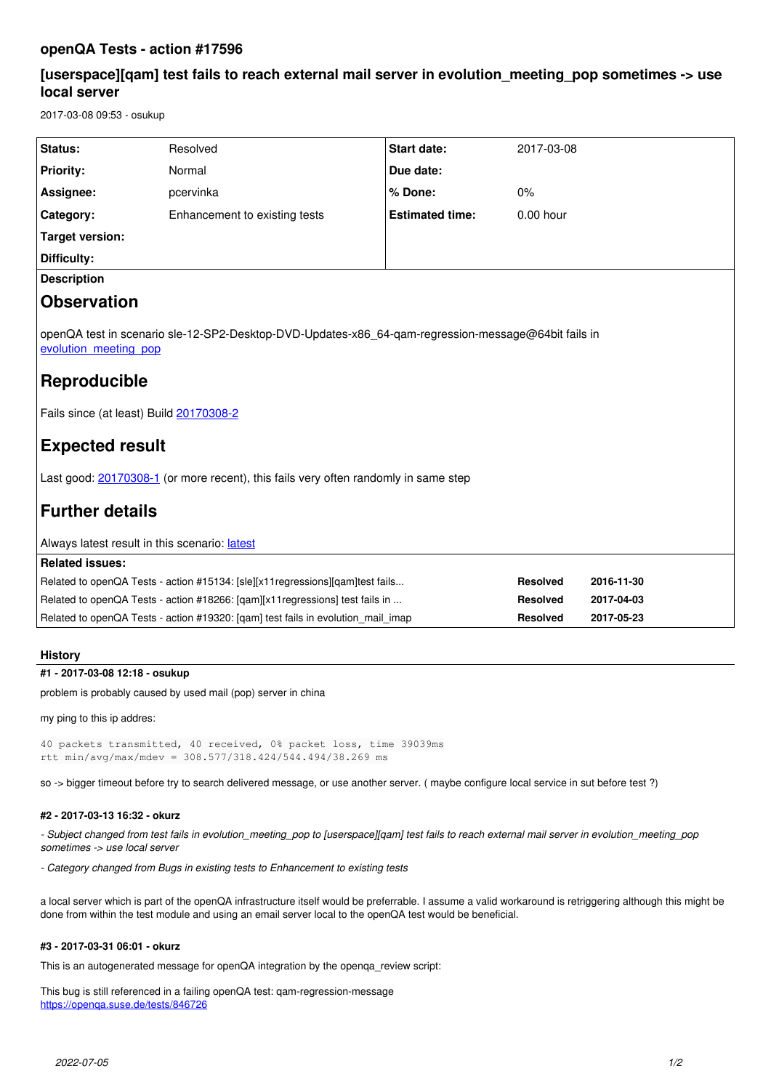# **openQA Tests - action #17596**

# **[userspace][qam] test fails to reach external mail server in evolution\_meeting\_pop sometimes -> use local server**

2017-03-08 09:53 - osukup

| Status:                                                                                                                                                                                                                                                                                                                            | Resolved                      | <b>Start date:</b>     | 2017-03-08      |            |
|------------------------------------------------------------------------------------------------------------------------------------------------------------------------------------------------------------------------------------------------------------------------------------------------------------------------------------|-------------------------------|------------------------|-----------------|------------|
| <b>Priority:</b>                                                                                                                                                                                                                                                                                                                   | Normal                        | Due date:              |                 |            |
| Assignee:                                                                                                                                                                                                                                                                                                                          | pcervinka                     | % Done:                | 0%              |            |
| Category:                                                                                                                                                                                                                                                                                                                          | Enhancement to existing tests | <b>Estimated time:</b> | $0.00$ hour     |            |
| Target version:                                                                                                                                                                                                                                                                                                                    |                               |                        |                 |            |
| <b>Difficulty:</b>                                                                                                                                                                                                                                                                                                                 |                               |                        |                 |            |
| <b>Description</b>                                                                                                                                                                                                                                                                                                                 |                               |                        |                 |            |
| <b>Observation</b>                                                                                                                                                                                                                                                                                                                 |                               |                        |                 |            |
| openQA test in scenario sle-12-SP2-Desktop-DVD-Updates-x86 64-qam-regression-message@64bit fails in<br>evolution meeting pop<br>Reproducible<br>Fails since (at least) Build 20170308-2<br><b>Expected result</b><br>Last good: 20170308-1 (or more recent), this fails very often randomly in same step<br><b>Further details</b> |                               |                        |                 |            |
| Always latest result in this scenario: latest                                                                                                                                                                                                                                                                                      |                               |                        |                 |            |
| <b>Related issues:</b>                                                                                                                                                                                                                                                                                                             |                               |                        |                 |            |
| Related to openQA Tests - action #15134: [sle][x11regressions][gam]test fails                                                                                                                                                                                                                                                      |                               |                        | <b>Resolved</b> | 2016-11-30 |
| Related to openQA Tests - action #18266: [qam][x11regressions] test fails in                                                                                                                                                                                                                                                       |                               |                        | <b>Resolved</b> | 2017-04-03 |
| Related to openQA Tests - action #19320: [qam] test fails in evolution_mail_imap                                                                                                                                                                                                                                                   |                               |                        | <b>Resolved</b> | 2017-05-23 |
|                                                                                                                                                                                                                                                                                                                                    |                               |                        |                 |            |

## **History**

## **#1 - 2017-03-08 12:18 - osukup**

problem is probably caused by used mail (pop) server in china

my ping to this ip addres:

```
40 packets transmitted, 40 received, 0% packet loss, time 39039ms
rtt min/avg/max/mdev = 308.577/318.424/544.494/38.269 ms
```
so -> bigger timeout before try to search delivered message, or use another server. ( maybe configure local service in sut before test ?)

#### **#2 - 2017-03-13 16:32 - okurz**

*- Subject changed from test fails in evolution\_meeting\_pop to [userspace][qam] test fails to reach external mail server in evolution\_meeting\_pop sometimes -> use local server*

*- Category changed from Bugs in existing tests to Enhancement to existing tests*

a local server which is part of the openQA infrastructure itself would be preferrable. I assume a valid workaround is retriggering although this might be done from within the test module and using an email server local to the openQA test would be beneficial.

## **#3 - 2017-03-31 06:01 - okurz**

This is an autogenerated message for openQA integration by the openqa\_review script:

This bug is still referenced in a failing openQA test: qam-regression-message <https://openqa.suse.de/tests/846726>